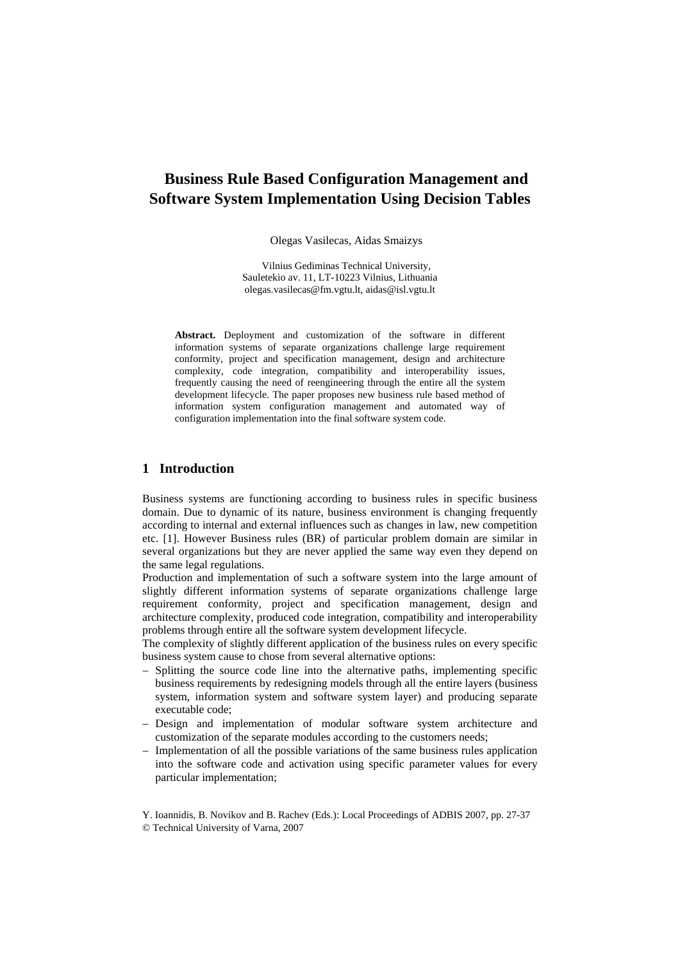# **Business Rule Based Configuration Management and Software System Implementation Using Decision Tables**

Olegas Vasilecas, Aidas Smaizys

Vilnius Gediminas Technical University, Sauletekio av. 11, LT-10223 Vilnius, Lithuania olegas.vasilecas@fm.vgtu.lt, aidas@isl.vgtu.lt

**Abstract.** Deployment and customization of the software in different information systems of separate organizations challenge large requirement conformity, project and specification management, design and architecture complexity, code integration, compatibility and interoperability issues, frequently causing the need of reengineering through the entire all the system development lifecycle. The paper proposes new business rule based method of information system configuration management and automated way of configuration implementation into the final software system code.

# **1 Introduction**

Business systems are functioning according to business rules in specific business domain. Due to dynamic of its nature, business environment is changing frequently according to internal and external influences such as changes in law, new competition etc. [1]. However Business rules (BR) of particular problem domain are similar in several organizations but they are never applied the same way even they depend on the same legal regulations.

Production and implementation of such a software system into the large amount of slightly different information systems of separate organizations challenge large requirement conformity, project and specification management, design and architecture complexity, produced code integration, compatibility and interoperability problems through entire all the software system development lifecycle.

The complexity of slightly different application of the business rules on every specific business system cause to chose from several alternative options:

- Splitting the source code line into the alternative paths, implementing specific business requirements by redesigning models through all the entire layers (business system, information system and software system layer) and producing separate executable code;
- − Design and implementation of modular software system architecture and customization of the separate modules according to the customers needs;
- − Implementation of all the possible variations of the same business rules application into the software code and activation using specific parameter values for every particular implementation;

Y. Ioannidis, B. Novikov and B. Rachev (Eds.): Local Proceedings of ADBIS 2007, pp. 27-37

© Technical University of Varna, 2007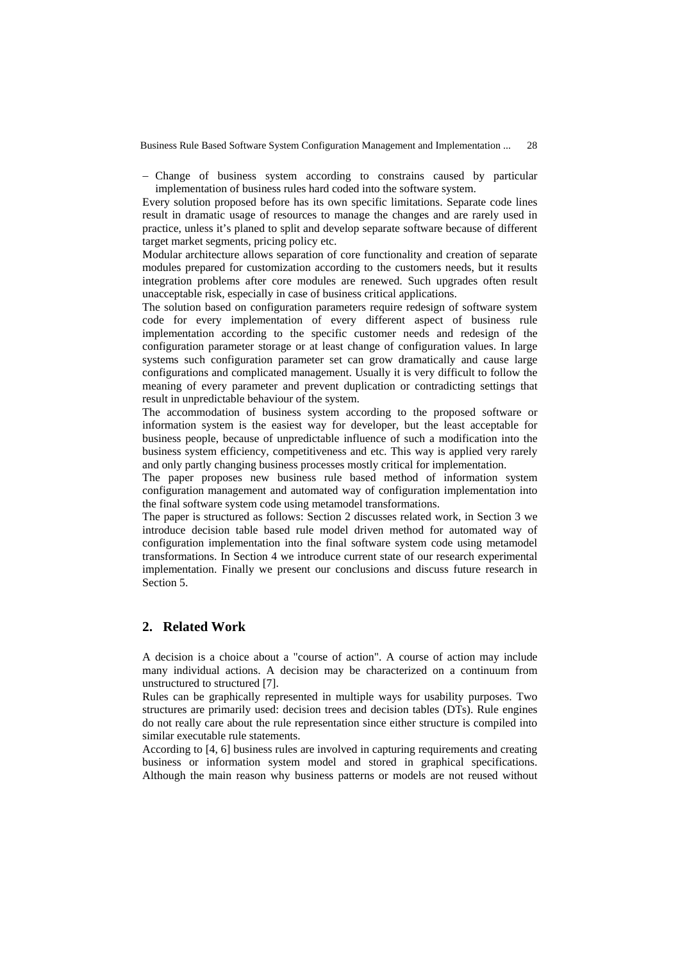− Change of business system according to constrains caused by particular implementation of business rules hard coded into the software system.

Every solution proposed before has its own specific limitations. Separate code lines result in dramatic usage of resources to manage the changes and are rarely used in practice, unless it's planed to split and develop separate software because of different target market segments, pricing policy etc.

Modular architecture allows separation of core functionality and creation of separate modules prepared for customization according to the customers needs, but it results integration problems after core modules are renewed. Such upgrades often result unacceptable risk, especially in case of business critical applications.

The solution based on configuration parameters require redesign of software system code for every implementation of every different aspect of business rule implementation according to the specific customer needs and redesign of the configuration parameter storage or at least change of configuration values. In large systems such configuration parameter set can grow dramatically and cause large configurations and complicated management. Usually it is very difficult to follow the meaning of every parameter and prevent duplication or contradicting settings that result in unpredictable behaviour of the system.

The accommodation of business system according to the proposed software or information system is the easiest way for developer, but the least acceptable for business people, because of unpredictable influence of such a modification into the business system efficiency, competitiveness and etc. This way is applied very rarely and only partly changing business processes mostly critical for implementation.

The paper proposes new business rule based method of information system configuration management and automated way of configuration implementation into the final software system code using metamodel transformations.

The paper is structured as follows: Section 2 discusses related work, in Section 3 we introduce decision table based rule model driven method for automated way of configuration implementation into the final software system code using metamodel transformations. In Section 4 we introduce current state of our research experimental implementation. Finally we present our conclusions and discuss future research in Section 5.

# **2. Related Work**

A decision is a choice about a "course of action". A course of action may include many individual actions. A decision may be characterized on a continuum from unstructured to structured [7].

Rules can be graphically represented in multiple ways for usability purposes. Two structures are primarily used: decision trees and decision tables (DTs). Rule engines do not really care about the rule representation since either structure is compiled into similar executable rule statements.

According to [4, 6] business rules are involved in capturing requirements and creating business or information system model and stored in graphical specifications. Although the main reason why business patterns or models are not reused without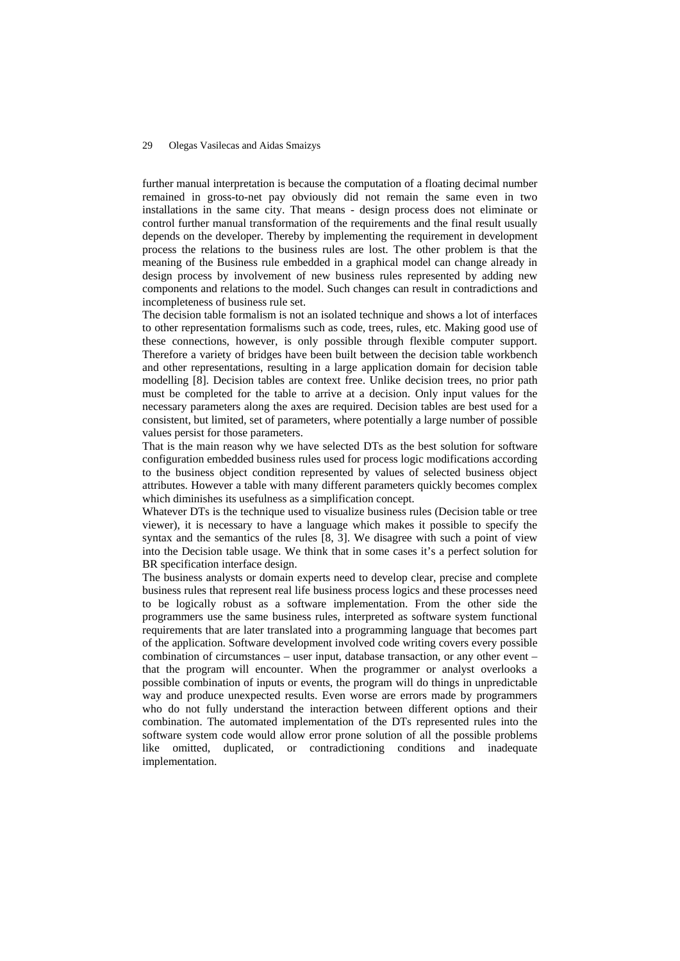further manual interpretation is because the computation of a floating decimal number remained in gross-to-net pay obviously did not remain the same even in two installations in the same city. That means - design process does not eliminate or control further manual transformation of the requirements and the final result usually depends on the developer. Thereby by implementing the requirement in development process the relations to the business rules are lost. The other problem is that the meaning of the Business rule embedded in a graphical model can change already in design process by involvement of new business rules represented by adding new components and relations to the model. Such changes can result in contradictions and incompleteness of business rule set.

The decision table formalism is not an isolated technique and shows a lot of interfaces to other representation formalisms such as code, trees, rules, etc. Making good use of these connections, however, is only possible through flexible computer support. Therefore a variety of bridges have been built between the decision table workbench and other representations, resulting in a large application domain for decision table modelling [8]. Decision tables are context free. Unlike decision trees, no prior path must be completed for the table to arrive at a decision. Only input values for the necessary parameters along the axes are required. Decision tables are best used for a consistent, but limited, set of parameters, where potentially a large number of possible values persist for those parameters.

That is the main reason why we have selected DTs as the best solution for software configuration embedded business rules used for process logic modifications according to the business object condition represented by values of selected business object attributes. However a table with many different parameters quickly becomes complex which diminishes its usefulness as a simplification concept.

Whatever DTs is the technique used to visualize business rules (Decision table or tree viewer), it is necessary to have a language which makes it possible to specify the syntax and the semantics of the rules [8, 3]. We disagree with such a point of view into the Decision table usage. We think that in some cases it's a perfect solution for BR specification interface design.

The business analysts or domain experts need to develop clear, precise and complete business rules that represent real life business process logics and these processes need to be logically robust as a software implementation. From the other side the programmers use the same business rules, interpreted as software system functional requirements that are later translated into a programming language that becomes part of the application. Software development involved code writing covers every possible combination of circumstances – user input, database transaction, or any other event – that the program will encounter. When the programmer or analyst overlooks a possible combination of inputs or events, the program will do things in unpredictable way and produce unexpected results. Even worse are errors made by programmers who do not fully understand the interaction between different options and their combination. The automated implementation of the DTs represented rules into the software system code would allow error prone solution of all the possible problems like omitted, duplicated, or contradictioning conditions and inadequate implementation.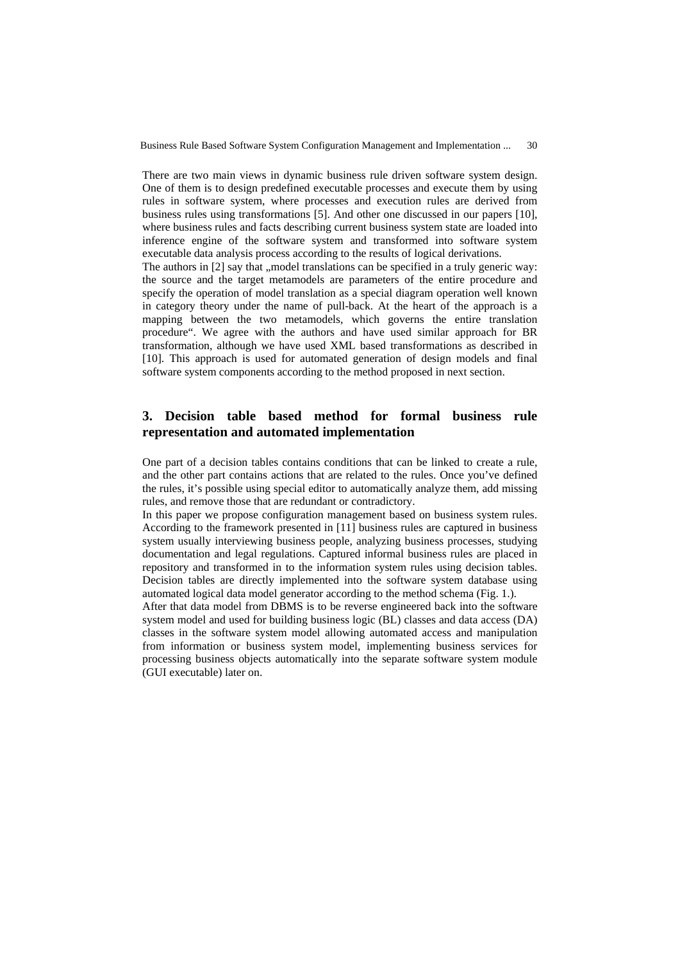There are two main views in dynamic business rule driven software system design. One of them is to design predefined executable processes and execute them by using rules in software system, where processes and execution rules are derived from business rules using transformations [5]. And other one discussed in our papers [10], where business rules and facts describing current business system state are loaded into inference engine of the software system and transformed into software system executable data analysis process according to the results of logical derivations.

The authors in  $[2]$  say that ,, model translations can be specified in a truly generic way: the source and the target metamodels are parameters of the entire procedure and specify the operation of model translation as a special diagram operation well known in category theory under the name of pull-back. At the heart of the approach is a mapping between the two metamodels, which governs the entire translation procedure". We agree with the authors and have used similar approach for BR transformation, although we have used XML based transformations as described in [10]. This approach is used for automated generation of design models and final software system components according to the method proposed in next section.

# **3. Decision table based method for formal business rule representation and automated implementation**

One part of a decision tables contains conditions that can be linked to create a rule, and the other part contains actions that are related to the rules. Once you've defined the rules, it's possible using special editor to automatically analyze them, add missing rules, and remove those that are redundant or contradictory.

In this paper we propose configuration management based on business system rules. According to the framework presented in [11] business rules are captured in business system usually interviewing business people, analyzing business processes, studying documentation and legal regulations. Captured informal business rules are placed in repository and transformed in to the information system rules using decision tables. Decision tables are directly implemented into the software system database using automated logical data model generator according to the method schema (Fig. 1.).

After that data model from DBMS is to be reverse engineered back into the software system model and used for building business logic (BL) classes and data access (DA) classes in the software system model allowing automated access and manipulation from information or business system model, implementing business services for processing business objects automatically into the separate software system module (GUI executable) later on.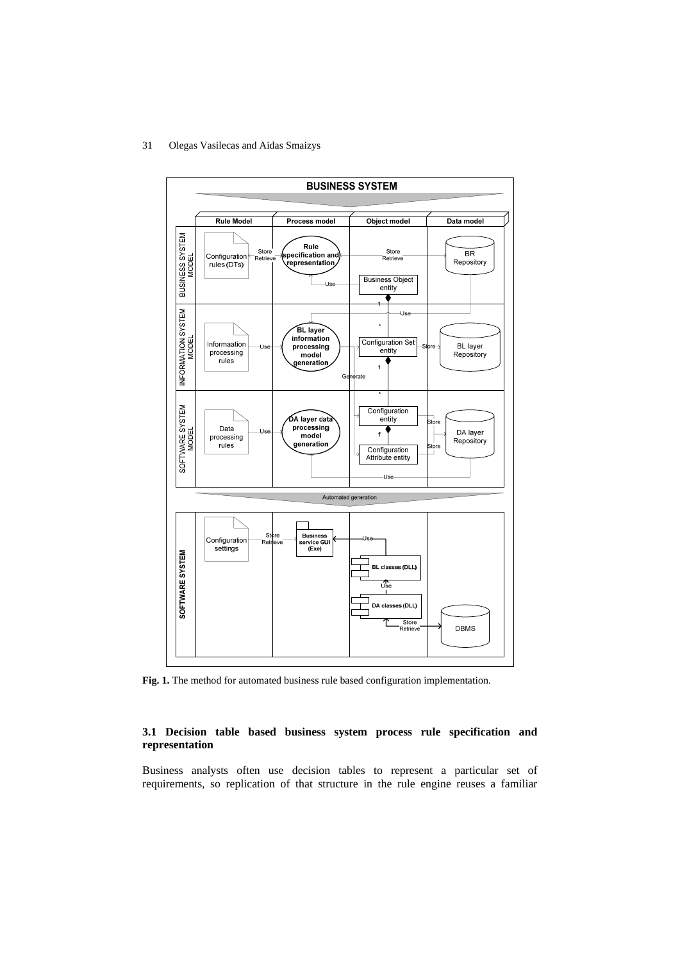

**Fig. 1.** The method for automated business rule based configuration implementation.

### **3.1 Decision table based business system process rule specification and representation**

Business analysts often use decision tables to represent a particular set of requirements, so replication of that structure in the rule engine reuses a familiar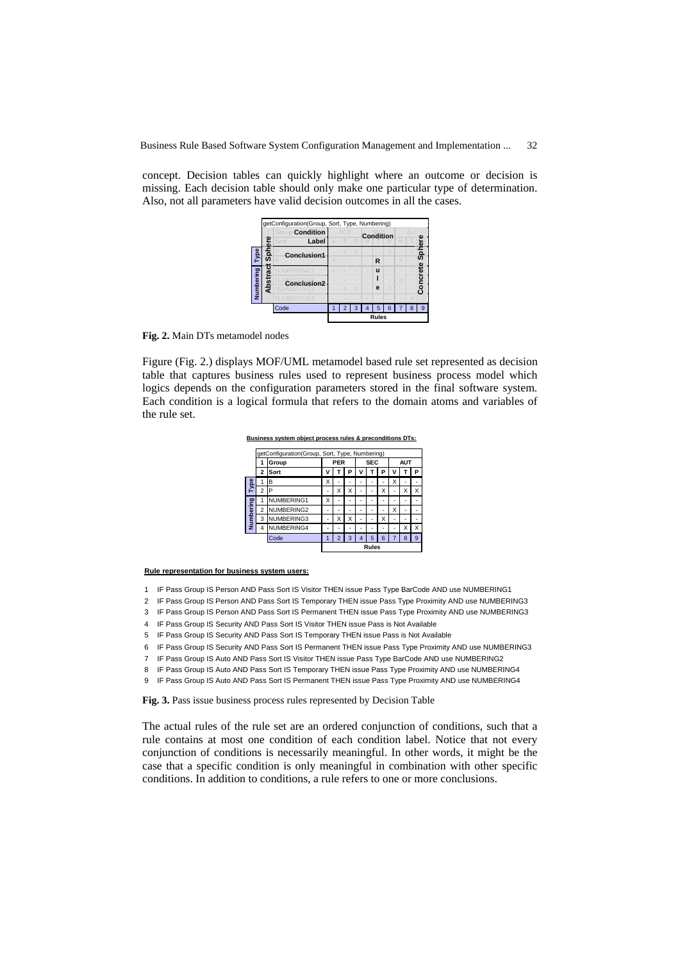concept. Decision tables can quickly highlight where an outcome or decision is missing. Each decision table should only make one particular type of determination. Also, not all parameters have valid decision outcomes in all the cases.



**Fig. 2.** Main DTs metamodel nodes

Figure (Fig. 2.) displays MOF/UML metamodel based rule set represented as decision table that captures business rules used to represent business process model which logics depends on the configuration parameters stored in the final software system. Each condition is a logical formula that refers to the domain atoms and variables of the rule set.

**Business system object process rules & preconditions DTs:**

|           | getConfiguration(Group, Sort, Type, Numbering) |            |              |   |   |            |   |   |            |   |   |
|-----------|------------------------------------------------|------------|--------------|---|---|------------|---|---|------------|---|---|
|           | Group                                          |            | <b>PER</b>   |   |   | <b>SEC</b> |   |   | <b>AUT</b> |   |   |
|           | 2                                              | Sort       | V            |   | P |            |   |   | ν          |   | P |
| Type      | 1                                              | в          | x            |   |   |            |   |   | х          |   |   |
|           | $\overline{\mathbf{c}}$                        | Р          |              | X | X |            |   | x |            | Χ | X |
| Numbering |                                                | NUMBERING1 | X            |   |   |            |   |   |            |   |   |
|           | $\overline{\mathbf{c}}$                        | NUMBERING2 |              |   |   |            |   |   | х          |   |   |
|           | 3                                              | NUMBERING3 |              | X | X |            | ۰ | X | ۰          |   |   |
|           | 4                                              | NUMBERING4 |              |   |   |            |   |   |            | Χ | X |
|           |                                                | Code       |              |   |   |            | 5 | ĥ |            | 8 | 9 |
|           |                                                |            | <b>Rules</b> |   |   |            |   |   |            |   |   |

**Rule representation for business system users:**

- 1 IF Pass Group IS Person AND Pass Sort IS Visitor THEN issue Pass Type BarCode AND use NUMBERING1
- 2 IF Pass Group IS Person AND Pass Sort IS Temporary THEN issue Pass Type Proximity AND use NUMBERING3
- 3 IF Pass Group IS Person AND Pass Sort IS Permanent THEN issue Pass Type Proximity AND use NUMBERING3
- 4 IF Pass Group IS Security AND Pass Sort IS Visitor THEN issue Pass is Not Available
- 5 IF Pass Group IS Security AND Pass Sort IS Temporary THEN issue Pass is Not Available
- 6 IF Pass Group IS Security AND Pass Sort IS Permanent THEN issue Pass Type Proximity AND use NUMBERING3
- 7 IF Pass Group IS Auto AND Pass Sort IS Visitor THEN issue Pass Type BarCode AND use NUMBERING2
- 8 IF Pass Group IS Auto AND Pass Sort IS Temporary THEN issue Pass Type Proximity AND use NUMBERING4
- 9 IF Pass Group IS Auto AND Pass Sort IS Permanent THEN issue Pass Type Proximity AND use NUMBERING4

**Fig. 3.** Pass issue business process rules represented by Decision Table

The actual rules of the rule set are an ordered conjunction of conditions, such that a rule contains at most one condition of each condition label. Notice that not every conjunction of conditions is necessarily meaningful. In other words, it might be the case that a specific condition is only meaningful in combination with other specific conditions. In addition to conditions, a rule refers to one or more conclusions.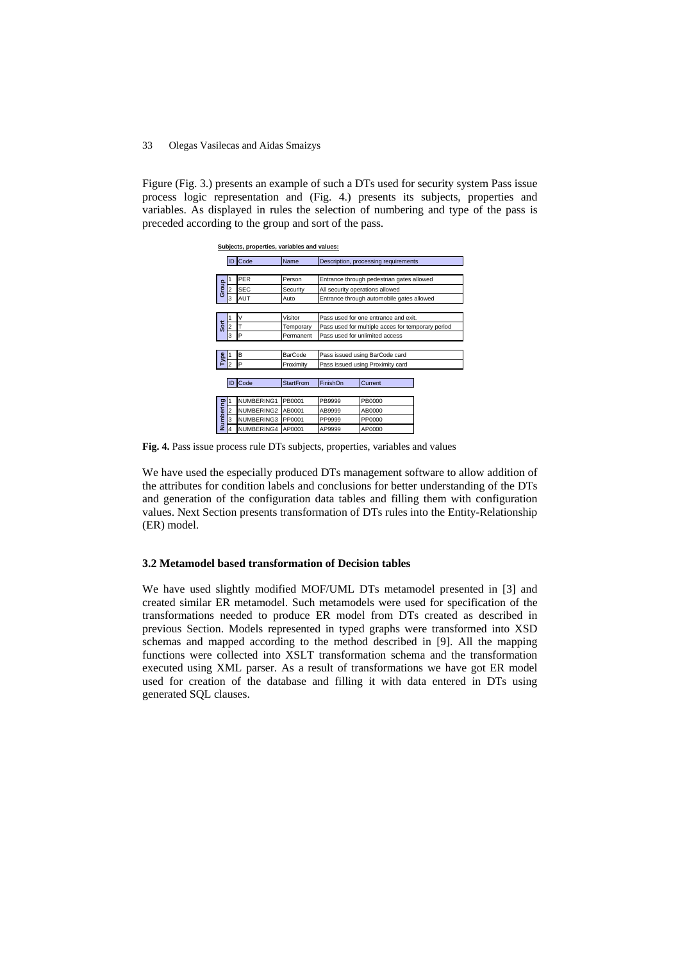Figure (Fig. 3.) presents an example of such a DTs used for security system Pass issue process logic representation and (Fig. 4.) presents its subjects, properties and variables. As displayed in rules the selection of numbering and type of the pass is preceded according to the group and sort of the pass.

|           |                | Subjects, properties, variables and values: |                  |                                                   |         |  |  |  |
|-----------|----------------|---------------------------------------------|------------------|---------------------------------------------------|---------|--|--|--|
|           | ID             | Code                                        | Name             | Description, processing requirements              |         |  |  |  |
|           |                |                                             |                  |                                                   |         |  |  |  |
| Group     |                | <b>PER</b>                                  | Person           | Entrance through pedestrian gates allowed         |         |  |  |  |
|           |                | <b>SEC</b>                                  | Security         | All security operations allowed                   |         |  |  |  |
|           | 3              | AUT                                         | Auto             | Entrance through automobile gates allowed         |         |  |  |  |
|           |                |                                             |                  |                                                   |         |  |  |  |
| Sort      |                | V                                           | Visitor          | Pass used for one entrance and exit.              |         |  |  |  |
|           |                |                                             | Temporary        | Pass used for multiple acces for temporary period |         |  |  |  |
|           | 3              | P                                           | Permanent        | Pass used for unlimited access                    |         |  |  |  |
|           |                |                                             |                  |                                                   |         |  |  |  |
| Type      |                | B                                           | BarCode          | Pass issued using BarCode card                    |         |  |  |  |
|           | $\overline{2}$ | P                                           | Proximity        | Pass issued using Proximity card                  |         |  |  |  |
|           |                |                                             |                  |                                                   |         |  |  |  |
|           |                | Code                                        | <b>StartFrom</b> | FinishOn                                          | Current |  |  |  |
|           |                |                                             |                  |                                                   |         |  |  |  |
| Numbering |                | NUMBERING1                                  | PB0001           | PB9999                                            | PB0000  |  |  |  |
|           | 2              | NUMBERING2                                  | AB0001           | AB9999                                            | AB0000  |  |  |  |
|           | 3              | NUMBERING3                                  | PP0001           | PP9999                                            | PP0000  |  |  |  |
|           |                | NUMBERING4                                  | AP0001           | AP9999                                            | AP0000  |  |  |  |

**Fig. 4.** Pass issue process rule DTs subjects, properties, variables and values

We have used the especially produced DTs management software to allow addition of the attributes for condition labels and conclusions for better understanding of the DTs and generation of the configuration data tables and filling them with configuration values. Next Section presents transformation of DTs rules into the Entity-Relationship (ER) model.

#### **3.2 Metamodel based transformation of Decision tables**

We have used slightly modified MOF/UML DTs metamodel presented in [3] and created similar ER metamodel. Such metamodels were used for specification of the transformations needed to produce ER model from DTs created as described in previous Section. Models represented in typed graphs were transformed into XSD schemas and mapped according to the method described in [9]. All the mapping functions were collected into XSLT transformation schema and the transformation executed using XML parser. As a result of transformations we have got ER model used for creation of the database and filling it with data entered in DTs using generated SQL clauses.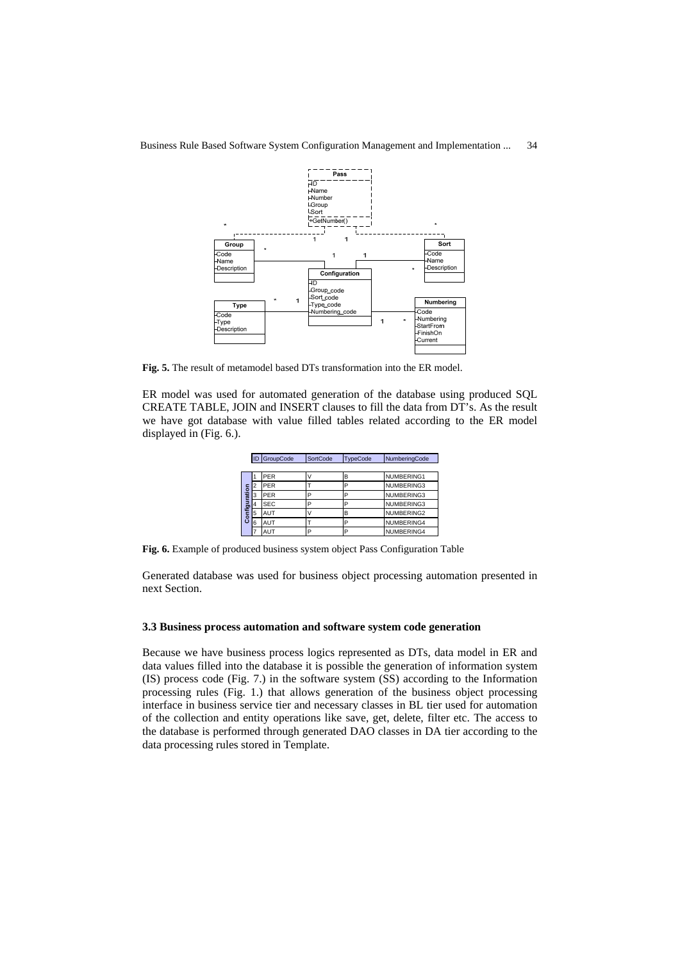

**Fig. 5.** The result of metamodel based DTs transformation into the ER model.

ER model was used for automated generation of the database using produced SQL CREATE TABLE, JOIN and INSERT clauses to fill the data from DT's. As the result we have got database with value filled tables related according to the ER model displayed in (Fig. 6.).

| <b>ID</b> GroupCode |  |            | <b>SortCode</b><br><b>TypeCode</b> |   | NumberingCode |  |  |
|---------------------|--|------------|------------------------------------|---|---------------|--|--|
|                     |  |            |                                    |   |               |  |  |
| Configuration       |  | <b>PER</b> |                                    | в | NUMBERING1    |  |  |
|                     |  | PER        |                                    | P | NUMBERING3    |  |  |
|                     |  | PER        | D                                  | P | NUMBERING3    |  |  |
|                     |  | <b>SEC</b> | n                                  | P | NUMBERING3    |  |  |
|                     |  | <b>AUT</b> |                                    | B | NUMBERING2    |  |  |
|                     |  | AUT        |                                    | P | NUMBERING4    |  |  |
|                     |  | AUT        | P                                  | P | NUMBERING4    |  |  |

**Fig. 6.** Example of produced business system object Pass Configuration Table

Generated database was used for business object processing automation presented in next Section.

#### **3.3 Business process automation and software system code generation**

Because we have business process logics represented as DTs, data model in ER and data values filled into the database it is possible the generation of information system (IS) process code (Fig. 7.) in the software system (SS) according to the Information processing rules (Fig. 1.) that allows generation of the business object processing interface in business service tier and necessary classes in BL tier used for automation of the collection and entity operations like save, get, delete, filter etc. The access to the database is performed through generated DAO classes in DA tier according to the data processing rules stored in Template.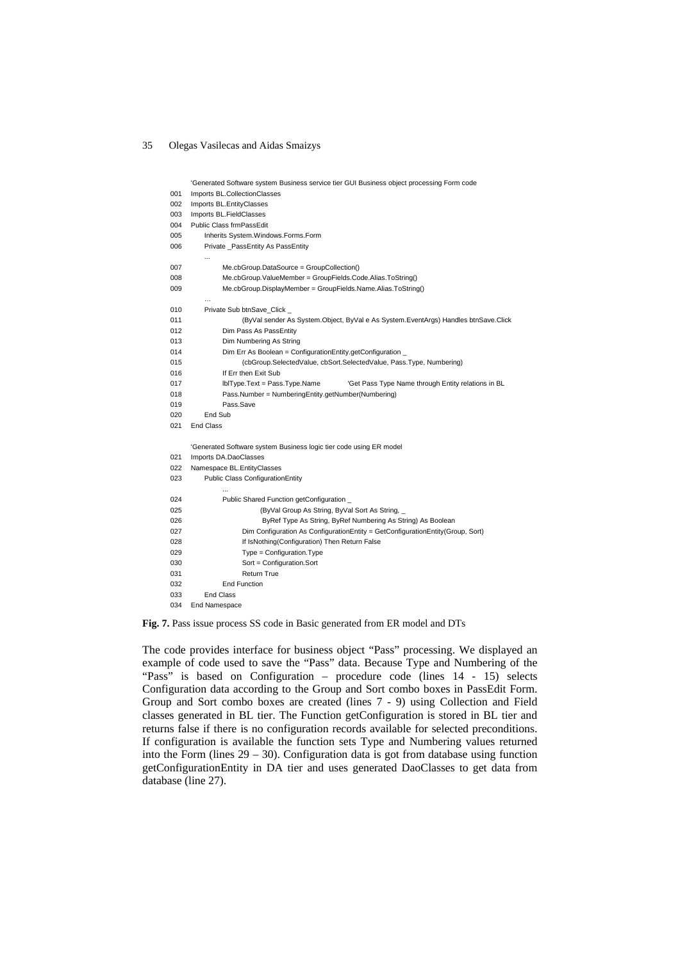|     | 'Generated Software system Business service tier GUI Business object processing Form code |  |  |  |  |  |
|-----|-------------------------------------------------------------------------------------------|--|--|--|--|--|
| 001 | Imports BL.CollectionClasses                                                              |  |  |  |  |  |
| 002 | Imports BL.EntityClasses                                                                  |  |  |  |  |  |
| 003 | Imports BL.FieldClasses                                                                   |  |  |  |  |  |
| 004 | Public Class frmPassEdit                                                                  |  |  |  |  |  |
| 005 | Inherits System.Windows.Forms.Form                                                        |  |  |  |  |  |
| 006 | Private PassEntity As PassEntity                                                          |  |  |  |  |  |
|     | $\ddotsc$                                                                                 |  |  |  |  |  |
| 007 | Me.cbGroup.DataSource = GroupCollection()                                                 |  |  |  |  |  |
| 008 | Me.cbGroup.ValueMember = GroupFields.Code.Alias.ToString()                                |  |  |  |  |  |
| 009 | Me.cbGroup.DisplayMember = GroupFields.Name.Alias.ToString()                              |  |  |  |  |  |
|     |                                                                                           |  |  |  |  |  |
| 010 | Private Sub btnSave_Click _                                                               |  |  |  |  |  |
| 011 | (ByVal sender As System.Object, ByVal e As System.EventArgs) Handles btnSave.Click        |  |  |  |  |  |
| 012 | Dim Pass As PassEntity                                                                    |  |  |  |  |  |
| 013 | Dim Numbering As String                                                                   |  |  |  |  |  |
| 014 | Dim Err As Boolean = ConfigurationEntity.getConfiguration _                               |  |  |  |  |  |
| 015 | (cbGroup.SelectedValue, cbSort.SelectedValue, Pass.Type, Numbering)                       |  |  |  |  |  |
| 016 | If Err then Exit Sub                                                                      |  |  |  |  |  |
| 017 | IbIType.Text = Pass.Type.Name<br>'Get Pass Type Name through Entity relations in BL       |  |  |  |  |  |
| 018 | Pass.Number = NumberingEntity.getNumber(Numbering)                                        |  |  |  |  |  |
| 019 | Pass.Save                                                                                 |  |  |  |  |  |
| 020 | End Sub                                                                                   |  |  |  |  |  |
| 021 | <b>End Class</b>                                                                          |  |  |  |  |  |
|     |                                                                                           |  |  |  |  |  |
|     | 'Generated Software system Business logic tier code using ER model                        |  |  |  |  |  |
| 021 | Imports DA.DaoClasses                                                                     |  |  |  |  |  |
| 022 | Namespace BL.EntityClasses                                                                |  |  |  |  |  |
| 023 | <b>Public Class ConfigurationEntity</b>                                                   |  |  |  |  |  |
|     |                                                                                           |  |  |  |  |  |
| 024 | Public Shared Function getConfiguration _                                                 |  |  |  |  |  |
| 025 | (ByVal Group As String, ByVal Sort As String, _                                           |  |  |  |  |  |
| 026 | ByRef Type As String, ByRef Numbering As String) As Boolean                               |  |  |  |  |  |
| 027 | Dim Configuration As ConfigurationEntity = GetConfigurationEntity(Group, Sort)            |  |  |  |  |  |
| 028 | If IsNothing(Configuration) Then Return False                                             |  |  |  |  |  |
| 029 | $Type = Configuration. Type$                                                              |  |  |  |  |  |
| 030 | Sort = Configuration.Sort                                                                 |  |  |  |  |  |
| 031 | <b>Return True</b>                                                                        |  |  |  |  |  |
| 032 | <b>End Function</b>                                                                       |  |  |  |  |  |
| 033 | <b>End Class</b>                                                                          |  |  |  |  |  |
| 034 | End Namespace                                                                             |  |  |  |  |  |
|     |                                                                                           |  |  |  |  |  |

**Fig. 7.** Pass issue process SS code in Basic generated from ER model and DTs

The code provides interface for business object "Pass" processing. We displayed an example of code used to save the "Pass" data. Because Type and Numbering of the "Pass" is based on Configuration – procedure code (lines 14 - 15) selects Configuration data according to the Group and Sort combo boxes in PassEdit Form. Group and Sort combo boxes are created (lines 7 - 9) using Collection and Field classes generated in BL tier. The Function getConfiguration is stored in BL tier and returns false if there is no configuration records available for selected preconditions. If configuration is available the function sets Type and Numbering values returned into the Form (lines 29 – 30). Configuration data is got from database using function getConfigurationEntity in DA tier and uses generated DaoClasses to get data from database (line 27).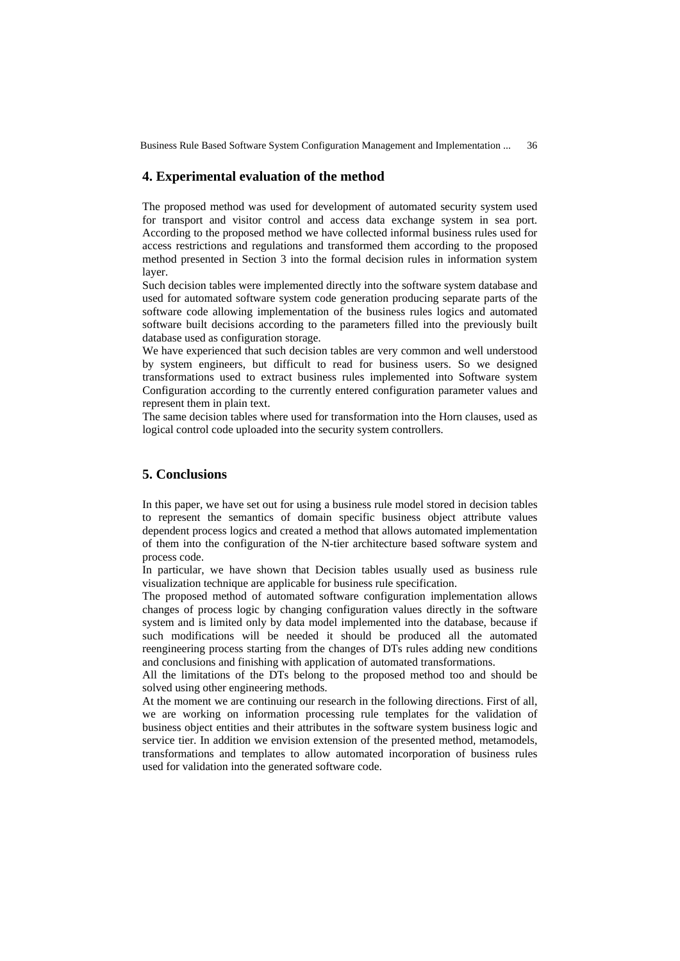### **4. Experimental evaluation of the method**

The proposed method was used for development of automated security system used for transport and visitor control and access data exchange system in sea port. According to the proposed method we have collected informal business rules used for access restrictions and regulations and transformed them according to the proposed method presented in Section 3 into the formal decision rules in information system layer.

Such decision tables were implemented directly into the software system database and used for automated software system code generation producing separate parts of the software code allowing implementation of the business rules logics and automated software built decisions according to the parameters filled into the previously built database used as configuration storage.

We have experienced that such decision tables are very common and well understood by system engineers, but difficult to read for business users. So we designed transformations used to extract business rules implemented into Software system Configuration according to the currently entered configuration parameter values and represent them in plain text.

The same decision tables where used for transformation into the Horn clauses, used as logical control code uploaded into the security system controllers.

# **5. Conclusions**

In this paper, we have set out for using a business rule model stored in decision tables to represent the semantics of domain specific business object attribute values dependent process logics and created a method that allows automated implementation of them into the configuration of the N-tier architecture based software system and process code.

In particular, we have shown that Decision tables usually used as business rule visualization technique are applicable for business rule specification.

The proposed method of automated software configuration implementation allows changes of process logic by changing configuration values directly in the software system and is limited only by data model implemented into the database, because if such modifications will be needed it should be produced all the automated reengineering process starting from the changes of DTs rules adding new conditions and conclusions and finishing with application of automated transformations.

All the limitations of the DTs belong to the proposed method too and should be solved using other engineering methods.

At the moment we are continuing our research in the following directions. First of all, we are working on information processing rule templates for the validation of business object entities and their attributes in the software system business logic and service tier. In addition we envision extension of the presented method, metamodels, transformations and templates to allow automated incorporation of business rules used for validation into the generated software code.